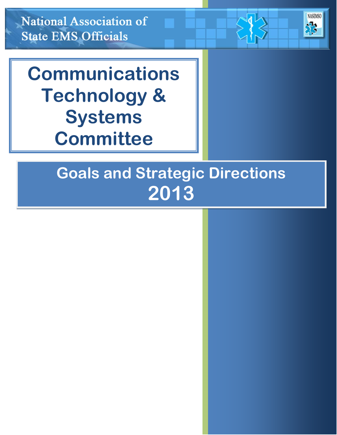**National Association of State EMS Officials** 

# **Communications Technology & Systems Committee**

# **Communications** ous and ou?<br>م **Committee Committee Goals and Strategic Directions 2013**

**NASEMSO** 

33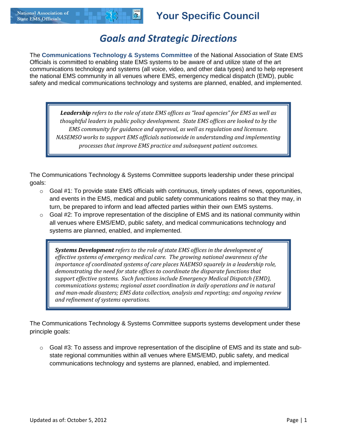## *Goals and Strategic Directions*

The **Communications Technology & Systems Committee** of the National Association of State EMS Officials is committed to enabling state EMS systems to be aware of and utilize state of the art communications technology and systems (all voice, video, and other data types) and to help represent the national EMS community in all venues where EMS, emergency medical dispatch (EMD), public safety and medical communications technology and systems are planned, enabled, and implemented.

*Leadership refers to the role of state EMS offices as "lead agencies" for EMS as well as thoughtful leaders in public policy development. State EMS offices are looked to by the EMS community for guidance and approval, as well as regulation and licensure. NASEMSO works to support EMS officials nationwide in understanding and implementing processes that improve EMS practice and subsequent patient outcomes.*

The Communications Technology & Systems Committee supports leadership under these principal goals:

- $\circ$  Goal #1: To provide state EMS officials with continuous, timely updates of news, opportunities, and events in the EMS, medical and public safety communications realms so that they may, in turn, be prepared to inform and lead affected parties within their own EMS systems.
- $\circ$  Goal #2: To improve representation of the discipline of EMS and its national community within all venues where EMS/EMD, public safety, and medical communications technology and systems are planned, enabled, and implemented.

*Systems Development refers to the role of state EMS offices in the development of effective systems of emergency medical care. The growing national awareness of the importance of coordinated systems of care places NAEMSO squarely in a leadership role, demonstrating the need for state offices to coordinate the disparate functions that support effective systems. Such functions include Emergency Medical Dispatch (EMD), communications systems; regional asset coordination in daily operations and in natural and man-made disasters; EMS data collection, analysis and reporting; and ongoing review and refinement of systems operations.*

The Communications Technology & Systems Committee supports systems development under these principle goals:

 $\circ$  Goal #3: To assess and improve representation of the discipline of EMS and its state and substate regional communities within all venues where EMS/EMD, public safety, and medical communications technology and systems are planned, enabled, and implemented.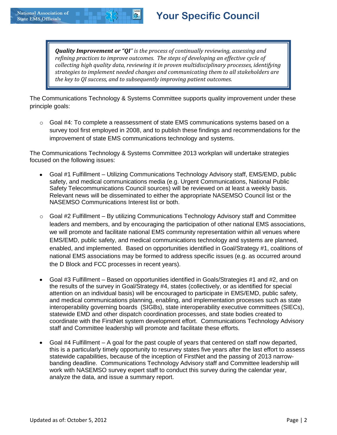*Quality Improvement or "QI" is the process of continually reviewing, assessing and refining practices to improve outcomes. The steps of developing an effective cycle of collecting high quality data, reviewing it in proven multidisciplinary processes, identifying strategies to implement needed changes and communicating them to all stakeholders are the key to QI success, and to subsequently improving patient outcomes.* 

The Communications Technology & Systems Committee supports quality improvement under these principle goals:

 $\circ$  Goal #4: To complete a reassessment of state EMS communications systems based on a survey tool first employed in 2008, and to publish these findings and recommendations for the improvement of state EMS communications technology and systems.

The Communications Technology & Systems Committee 2013 workplan will undertake strategies focused on the following issues:

- Goal #1 Fulfillment Utilizing Communications Technology Advisory staff, EMS/EMD, public safety, and medical communications media (e.g. Urgent Communications, National Public Safety Telecommunications Council sources) will be reviewed on at least a weekly basis. Relevant news will be disseminated to either the appropriate NASEMSO Council list or the NASEMSO Communications Interest list or both.
- $\circ$  Goal #2 Fulfillment By utilizing Communications Technology Advisory staff and Committee leaders and members, and by encouraging the participation of other national EMS associations, we will promote and facilitate national EMS community representation within all venues where EMS/EMD, public safety, and medical communications technology and systems are planned, enabled, and implemented. Based on opportunities identified in Goal/Strategy #1, coalitions of national EMS associations may be formed to address specific issues (e.g. as occurred around the D Block and FCC processes in recent years).
- Goal #3 Fulfillment Based on opportunities identified in Goals/Strategies #1 and #2, and on the results of the survey in Goal/Strategy #4, states (collectively, or as identified for special attention on an individual basis) will be encouraged to participate in EMS/EMD, public safety, and medical communications planning, enabling, and implementation processes such as state interoperability governing boards (SIGBs), state interoperability executive committees (SIECs), statewide EMD and other dispatch coordination processes, and state bodies created to coordinate with the FirstNet system development effort. Communications Technology Advisory staff and Committee leadership will promote and facilitate these efforts.
- Goal #4 Fulfillment A goal for the past couple of years that centered on staff now departed, this is a particularly timely opportunity to resurvey states five years after the last effort to assess statewide capabilities, because of the inception of FirstNet and the passing of 2013 narrowbanding deadline. Communications Technology Advisory staff and Committee leadership will work with NASEMSO survey expert staff to conduct this survey during the calendar year, analyze the data, and issue a summary report.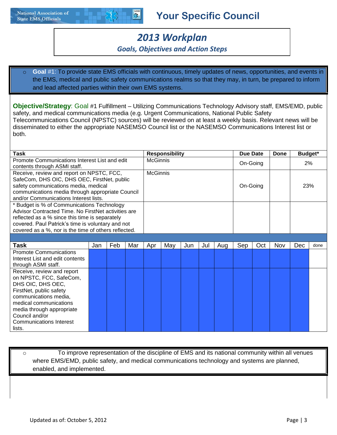

## **Your Specific Council**

# *2013 Workplan*

#### *Goals, Objectives and Action Steps*

Goal #1: To provide state EMS officials with continuous, timely updates of news, opportunities, and events in the EMS, medical and public safety communications realms so that they may, in turn, be prepared to inform and lead affected parties within their own EMS systems.

**Objective/Strategy**: Goal #1 Fulfillment – Utilizing Communications Technology Advisory staff, EMS/EMD, public safety, and medical communications media (e.g. Urgent Communications, National Public Safety Telecommunications Council (NPSTC) sources) will be reviewed on at least a weekly basis. Relevant news will be disseminated to either the appropriate NASEMSO Council list or the NASEMSO Communications Interest list or both.

| Task                                                 |     |     |     |                 | <b>Responsibility</b> |     |     |     | Due Date |     | <b>Done</b> | Budget* |      |
|------------------------------------------------------|-----|-----|-----|-----------------|-----------------------|-----|-----|-----|----------|-----|-------------|---------|------|
| Promote Communications Interest List and edit        |     |     |     |                 | <b>McGinnis</b>       |     |     |     | On-Going |     |             | 2%      |      |
| contents through ASMI staff.                         |     |     |     |                 |                       |     |     |     |          |     |             |         |      |
| Receive, review and report on NPSTC, FCC,            |     |     |     | <b>McGinnis</b> |                       |     |     |     |          |     |             |         |      |
| SafeCom, DHS OIC, DHS OEC, FirstNet, public          |     |     |     |                 |                       |     |     |     |          |     |             |         |      |
| safety communications media, medical                 |     |     |     |                 |                       |     |     |     | On-Going |     |             | 23%     |      |
| communications media through appropriate Council     |     |     |     |                 |                       |     |     |     |          |     |             |         |      |
| and/or Communications Interest lists.                |     |     |     |                 |                       |     |     |     |          |     |             |         |      |
| * Budget is % of Communications Technology           |     |     |     |                 |                       |     |     |     |          |     |             |         |      |
| Advisor Contracted Time. No FirstNet activities are  |     |     |     |                 |                       |     |     |     |          |     |             |         |      |
| reflected as a % since this time is separately       |     |     |     |                 |                       |     |     |     |          |     |             |         |      |
| covered. Paul Patrick's time is voluntary and not    |     |     |     |                 |                       |     |     |     |          |     |             |         |      |
| covered as a %, nor is the time of others reflected. |     |     |     |                 |                       |     |     |     |          |     |             |         |      |
|                                                      |     |     |     |                 |                       |     |     |     |          |     |             |         |      |
| Task                                                 | Jan | Feb | Mar | Apr             | May                   | Jun | Jul | Aug | Sep      | Oct | <b>Nov</b>  | Dec     | done |
| <b>Promote Communications</b>                        |     |     |     |                 |                       |     |     |     |          |     |             |         |      |
| Interest List and edit contents                      |     |     |     |                 |                       |     |     |     |          |     |             |         |      |
| through ASMI staff.                                  |     |     |     |                 |                       |     |     |     |          |     |             |         |      |
| Receive, review and report                           |     |     |     |                 |                       |     |     |     |          |     |             |         |      |
| on NPSTC, FCC, SafeCom,                              |     |     |     |                 |                       |     |     |     |          |     |             |         |      |
| DHS OIC, DHS OEC,                                    |     |     |     |                 |                       |     |     |     |          |     |             |         |      |
| FirstNet, public safety                              |     |     |     |                 |                       |     |     |     |          |     |             |         |      |
| communications media,                                |     |     |     |                 |                       |     |     |     |          |     |             |         |      |
| medical communications                               |     |     |     |                 |                       |     |     |     |          |     |             |         |      |
| media through appropriate                            |     |     |     |                 |                       |     |     |     |          |     |             |         |      |
| Council and/or                                       |     |     |     |                 |                       |     |     |     |          |     |             |         |      |
| <b>Communications Interest</b>                       |     |     |     |                 |                       |     |     |     |          |     |             |         |      |
| lists.                                               |     |     |     |                 |                       |     |     |     |          |     |             |         |      |

o **Fo** improve representation of the discipline of EMS and its national community within all venues where EMS/EMD, public safety, and medical communications technology and systems are planned, enabled, and implemented.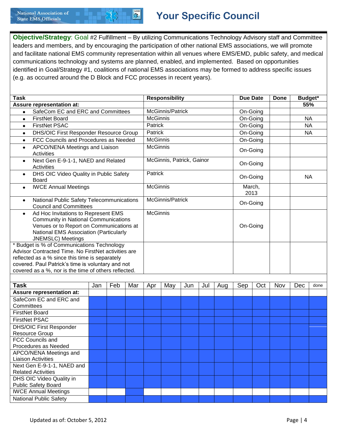

**Objective/Strategy**: Goal #2 Fulfillment – By utilizing Communications Technology Advisory staff and Committee leaders and members, and by encouraging the participation of other national EMS associations, we will promote and facilitate national EMS community representation within all venues where EMS/EMD, public safety, and medical communications technology and systems are planned, enabled, and implemented. Based on opportunities identified in Goal/Strategy #1, coalitions of national EMS associations may be formed to address specific issues (e.g. as occurred around the D Block and FCC processes in recent years).

| <b>Responsibility</b><br><b>Task</b>                                                                                                                                                                                                                             |                 |                  |     |                 |                           |          |     |     | <b>Due Date</b> |     | <b>Done</b> | Budget*   |      |  |
|------------------------------------------------------------------------------------------------------------------------------------------------------------------------------------------------------------------------------------------------------------------|-----------------|------------------|-----|-----------------|---------------------------|----------|-----|-----|-----------------|-----|-------------|-----------|------|--|
| <b>Assure representation at:</b>                                                                                                                                                                                                                                 |                 |                  |     |                 |                           |          |     |     | 55%             |     |             |           |      |  |
| SafeCom EC and ERC and Committees<br>$\bullet$                                                                                                                                                                                                                   |                 | McGinnis/Patrick |     |                 |                           | On-Going |     |     |                 |     |             |           |      |  |
| <b>FirstNet Board</b><br>$\bullet$                                                                                                                                                                                                                               | <b>McGinnis</b> |                  |     |                 |                           | On-Going |     |     | <b>NA</b>       |     |             |           |      |  |
| <b>FirstNet PSAC</b><br>$\bullet$                                                                                                                                                                                                                                |                 |                  |     | Patrick         |                           |          |     |     | On-Going        |     |             | <b>NA</b> |      |  |
| <b>DHS/OIC First Responder Resource Group</b><br>$\bullet$                                                                                                                                                                                                       |                 |                  |     | Patrick         |                           |          |     |     | On-Going        |     |             | <b>NA</b> |      |  |
| FCC Councils and Procedures as Needed<br>$\bullet$                                                                                                                                                                                                               |                 |                  |     | <b>McGinnis</b> |                           |          |     |     | On-Going        |     |             |           |      |  |
| APCO/NENA Meetings and Liaison<br>$\bullet$<br>Activities                                                                                                                                                                                                        |                 |                  |     | <b>McGinnis</b> |                           |          |     |     | On-Going        |     |             |           |      |  |
| Next Gen E-9-1-1, NAED and Related<br>$\bullet$<br><b>Activities</b>                                                                                                                                                                                             |                 |                  |     |                 | McGinnis, Patrick, Gainor |          |     |     | On-Going        |     |             |           |      |  |
| DHS OIC Video Quality in Public Safety<br>$\bullet$<br><b>Board</b>                                                                                                                                                                                              |                 |                  |     | Patrick         |                           |          |     |     | On-Going        |     |             | <b>NA</b> |      |  |
| <b>IWCE Annual Meetings</b><br>$\bullet$                                                                                                                                                                                                                         |                 |                  |     | <b>McGinnis</b> |                           |          |     |     | March,<br>2013  |     |             |           |      |  |
| National Public Safety Telecommunications<br>$\bullet$<br><b>Council and Committees</b>                                                                                                                                                                          |                 |                  |     |                 | McGinnis/Patrick          |          |     |     | On-Going        |     |             |           |      |  |
| Ad Hoc Invitations to Represent EMS<br>$\bullet$<br><b>Community in National Communications</b><br>Venues or to Report on Communications at<br>National EMS Association (Particularly<br>JNEMSLC) Meetings                                                       | <b>McGinnis</b> |                  |     |                 |                           | On-Going |     |     |                 |     |             |           |      |  |
| * Budget is % of Communications Technology<br>Advisor Contracted Time. No FirstNet activities are<br>reflected as a % since this time is separately<br>covered. Paul Patrick's time is voluntary and not<br>covered as a %, nor is the time of others reflected. |                 |                  |     |                 |                           |          |     |     |                 |     |             |           |      |  |
|                                                                                                                                                                                                                                                                  |                 |                  |     |                 |                           |          |     |     |                 |     |             |           |      |  |
| Task                                                                                                                                                                                                                                                             | Jan             | Feb              | Mar | Apr             | May                       | Jun      | Jul | Aug | Sep             | Oct | Nov         | Dec       | done |  |
| <b>Assure representation at:</b>                                                                                                                                                                                                                                 |                 |                  |     |                 |                           |          |     |     |                 |     |             |           |      |  |
| SafeCom EC and ERC and                                                                                                                                                                                                                                           |                 |                  |     |                 |                           |          |     |     |                 |     |             |           |      |  |
| Committees<br><b>FirstNet Board</b>                                                                                                                                                                                                                              |                 |                  |     |                 |                           |          |     |     |                 |     |             |           |      |  |
|                                                                                                                                                                                                                                                                  |                 |                  |     |                 |                           |          |     |     |                 |     |             |           |      |  |
| <b>FirstNet PSAC</b>                                                                                                                                                                                                                                             |                 |                  |     |                 |                           |          |     |     |                 |     |             |           |      |  |
| <b>DHS/OIC First Responder</b><br>Resource Group                                                                                                                                                                                                                 |                 |                  |     |                 |                           |          |     |     |                 |     |             |           |      |  |
| FCC Councils and                                                                                                                                                                                                                                                 |                 |                  |     |                 |                           |          |     |     |                 |     |             |           |      |  |
| Procedures as Needed                                                                                                                                                                                                                                             |                 |                  |     |                 |                           |          |     |     |                 |     |             |           |      |  |
| APCO/NENA Meetings and                                                                                                                                                                                                                                           |                 |                  |     |                 |                           |          |     |     |                 |     |             |           |      |  |
| Liaison Activities                                                                                                                                                                                                                                               |                 |                  |     |                 |                           |          |     |     |                 |     |             |           |      |  |
| Next Gen E-9-1-1, NAED and<br><b>Related Activities</b>                                                                                                                                                                                                          |                 |                  |     |                 |                           |          |     |     |                 |     |             |           |      |  |
| DHS OIC Video Quality in                                                                                                                                                                                                                                         |                 |                  |     |                 |                           |          |     |     |                 |     |             |           |      |  |
| <b>Public Safety Board</b>                                                                                                                                                                                                                                       |                 |                  |     |                 |                           |          |     |     |                 |     |             |           |      |  |
| <b>IWCE Annual Meetings</b>                                                                                                                                                                                                                                      |                 |                  |     |                 |                           |          |     |     |                 |     |             |           |      |  |
| <b>National Public Safety</b>                                                                                                                                                                                                                                    |                 |                  |     |                 |                           |          |     |     |                 |     |             |           |      |  |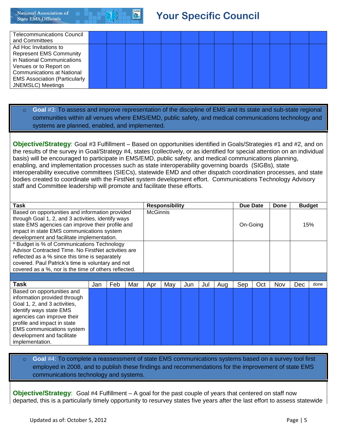# **Your Specific Council**

| <b>Telecommunications Council</b><br>and Committees                                                                                                                                                                       |  |  |  |  |  |  |  |
|---------------------------------------------------------------------------------------------------------------------------------------------------------------------------------------------------------------------------|--|--|--|--|--|--|--|
| Ad Hoc Invitations to<br><b>Represent EMS Community</b><br>in National Communications<br>Venues or to Report on<br><b>Communications at National</b><br><b>EMS Association (Particularly</b><br><b>JNEMSLC</b> ) Meetings |  |  |  |  |  |  |  |

#### Goal #3: To assess and improve representation of the discipline of EMS and its state and sub-state regional communities within all venues where EMS/EMD, public safety, and medical communications technology and systems are planned, enabled, and implemented.

**Objective/Strategy**: Goal #3 Fulfillment – Based on opportunities identified in Goals/Strategies #1 and #2, and on the results of the survey in Goal/Strategy #4, states (collectively, or as identified for special attention on an individual basis) will be encouraged to participate in EMS/EMD, public safety, and medical communications planning, enabling, and implementation processes such as state interoperability governing boards (SIGBs), state interoperability executive committees (SIECs), statewide EMD and other dispatch coordination processes, and state bodies created to coordinate with the FirstNet system development effort. Communications Technology Advisory staff and Committee leadership will promote and facilitate these efforts.

| Task                                                 |     |     |     |     | <b>Responsibility</b> |     |     |     | Due Date |     | Done | <b>Budget</b> |      |
|------------------------------------------------------|-----|-----|-----|-----|-----------------------|-----|-----|-----|----------|-----|------|---------------|------|
| Based on opportunities and information provided      |     |     |     |     | <b>McGinnis</b>       |     |     |     |          |     |      |               |      |
| through Goal 1, 2, and 3 activities, identify ways   |     |     |     |     |                       |     |     |     |          |     |      |               |      |
| state EMS agencies can improve their profile and     |     |     |     |     |                       |     |     |     | On-Going |     |      |               | 15%  |
| impact in state EMS communications system            |     |     |     |     |                       |     |     |     |          |     |      |               |      |
| development and facilitate implementation.           |     |     |     |     |                       |     |     |     |          |     |      |               |      |
| * Budget is % of Communications Technology           |     |     |     |     |                       |     |     |     |          |     |      |               |      |
| Advisor Contracted Time. No FirstNet activities are  |     |     |     |     |                       |     |     |     |          |     |      |               |      |
| reflected as a % since this time is separately       |     |     |     |     |                       |     |     |     |          |     |      |               |      |
| covered. Paul Patrick's time is voluntary and not    |     |     |     |     |                       |     |     |     |          |     |      |               |      |
| covered as a %, nor is the time of others reflected. |     |     |     |     |                       |     |     |     |          |     |      |               |      |
|                                                      |     |     |     |     |                       |     |     |     |          |     |      |               |      |
| Task                                                 | Jan | Feb | Mar | Apr | May                   | Jun | Jul | Aug | Sep      | Oct | Nov  | <b>Dec</b>    | done |
| Based on opportunities and                           |     |     |     |     |                       |     |     |     |          |     |      |               |      |
| information provided through                         |     |     |     |     |                       |     |     |     |          |     |      |               |      |
| Goal 1, 2, and 3 activities,                         |     |     |     |     |                       |     |     |     |          |     |      |               |      |
| identify ways state EMS                              |     |     |     |     |                       |     |     |     |          |     |      |               |      |
| agencies can improve their                           |     |     |     |     |                       |     |     |     |          |     |      |               |      |
| profile and impact in state                          |     |     |     |     |                       |     |     |     |          |     |      |               |      |
| <b>EMS</b> communications system                     |     |     |     |     |                       |     |     |     |          |     |      |               |      |
| development and facilitate                           |     |     |     |     |                       |     |     |     |          |     |      |               |      |

#### Goal #4: To complete a reassessment of state EMS communications systems based on a survey tool first employed in 2008, and to publish these findings and recommendations for the improvement of state EMS communications technology and systems.

**Objective/Strategy**: Goal #4 Fulfillment – A goal for the past couple of years that centered on staff now departed, this is a particularly timely opportunity to resurvey states five years after the last effort to assess statewide

implementation.